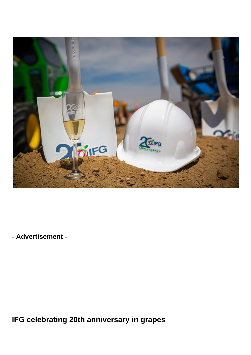

**- Advertisement -**

**IFG celebrating 20th anniversary in grapes**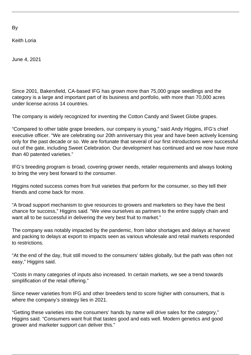By

Keith Loria

June 4, 2021

Since 2001, Bakersfield, CA-based IFG has grown more than 75,000 grape seedlings and the category is a large and important part of its business and portfolio, with more than 70,000 acres under license across 14 countries.

The company is widely recognized for inventing the Cotton Candy and Sweet Globe grapes.

"Compared to other table grape breeders, our company is young," said Andy Higgins, IFG's chief executive officer. "We are celebrating our 20th anniversary this year and have been actively licensing only for the past decade or so. We are fortunate that several of our first introductions were successful out of the gate, including Sweet Celebration. Our development has continued and we now have more than 40 patented varieties."

IFG's breeding program is broad, covering grower needs, retailer requirements and always looking to bring the very best forward to the consumer.

Higgins noted success comes from fruit varieties that perform for the consumer, so they tell their friends and come back for more.

"A broad support mechanism to give resources to growers and marketers so they have the best chance for success," Higgins said. "We view ourselves as partners to the entire supply chain and want all to be successful in delivering the very best fruit to market."

The company was notably impacted by the pandemic, from labor shortages and delays at harvest and packing to delays at export to impacts seen as various wholesale and retail markets responded to restrictions.

"At the end of the day, fruit still moved to the consumers' tables globally, but the path was often not easy," Higgins said.

"Costs in many categories of inputs also increased. In certain markets, we see a trend towards simplification of the retail offering."

Since newer varieties from IFG and other breeders tend to score higher with consumers, that is where the company's strategy lies in 2021.

"Getting these varieties into the consumers' hands by name will drive sales for the category," Higgins said. "Consumers want fruit that tastes good and eats well. Modern genetics and good grower and marketer support can deliver this."